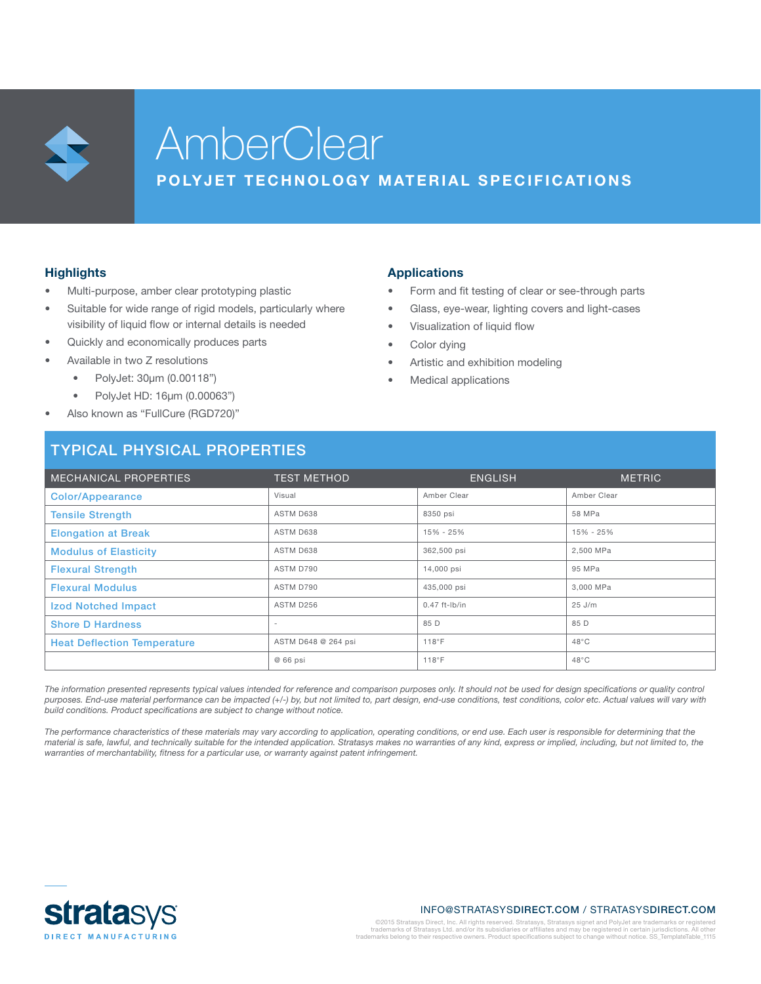

# **AmberClear**

### POLYJET TECHNOLOGY MATERIAL SPECIFICATIONS

#### **Highlights**

- Multi-purpose, amber clear prototyping plastic
- Suitable for wide range of rigid models, particularly where visibility of liquid flow or internal details is needed
- Quickly and economically produces parts
- Available in two Z resolutions
	- PolyJet: 30µm (0.00118")
	- PolyJet HD: 16µm (0.00063")
- Also known as "FullCure (RGD720)"

# TYPICAL PHYSICAL PROPERTIES

#### Applications

- Form and fit testing of clear or see-through parts
- Glass, eye-wear, lighting covers and light-cases
- Visualization of liquid flow
	- Color dying
	- Artistic and exhibition modeling
	- Medical applications

| MECHANICAL PROPERTIES              | <b>TEST METHOD</b>       | <b>ENGLISH</b>  | <b>METRIC</b>  |  |
|------------------------------------|--------------------------|-----------------|----------------|--|
| <b>Color/Appearance</b>            | Visual                   | Amber Clear     | Amber Clear    |  |
| <b>Tensile Strength</b>            | ASTM D638                | 8350 psi        | 58 MPa         |  |
| <b>Elongation at Break</b>         | ASTM D638                | 15% - 25%       | 15% - 25%      |  |
| <b>Modulus of Elasticity</b>       | ASTM D638                | 362,500 psi     | 2,500 MPa      |  |
| <b>Flexural Strength</b>           | ASTM D790                | 14,000 psi      | 95 MPa         |  |
| <b>Flexural Modulus</b>            | ASTM D790                | 435,000 psi     | 3.000 MPa      |  |
| <b>Izod Notched Impact</b>         | ASTM D256                | $0.47$ ft-lb/in | $25$ J/m       |  |
| <b>Shore D Hardness</b>            | $\overline{\phantom{a}}$ | 85 D            | 85 D           |  |
| <b>Heat Deflection Temperature</b> | ASTM D648 @ 264 psi      | 118°F           | $48^{\circ}$ C |  |
|                                    | @ 66 psi                 | 118°F           | $48^{\circ}$ C |  |

The information presented represents typical values intended for reference and comparison purposes only. It should not be used for design specifications or quality control *purposes. End-use material performance can be impacted (+/-) by, but not limited to, part design, end-use conditions, test conditions, color etc. Actual values will vary with build conditions. Product specifications are subject to change without notice.*

*The performance characteristics of these materials may vary according to application, operating conditions, or end use. Each user is responsible for determining that the material is safe, lawful, and technically suitable for the intended application. Stratasys makes no warranties of any kind, express or implied, including, but not limited to, the warranties of merchantability, fitness for a particular use, or warranty against patent infringement.*



#### INFO@STRATASYSDIRECT.COM / STRATASYSDIRECT.COM

©2015 Stratasys Direct, Inc. All rights reserved. Stratasys, Stratasys signet and PolyJet are trademarks or registered<br>trademarks of Stratasys Ltd. and/or its subsidiaries or affiliates and may be registered in certain jur trademarks belong to their respective owners. Product specifications subject to change without notice. SS\_TemplateTable\_1115